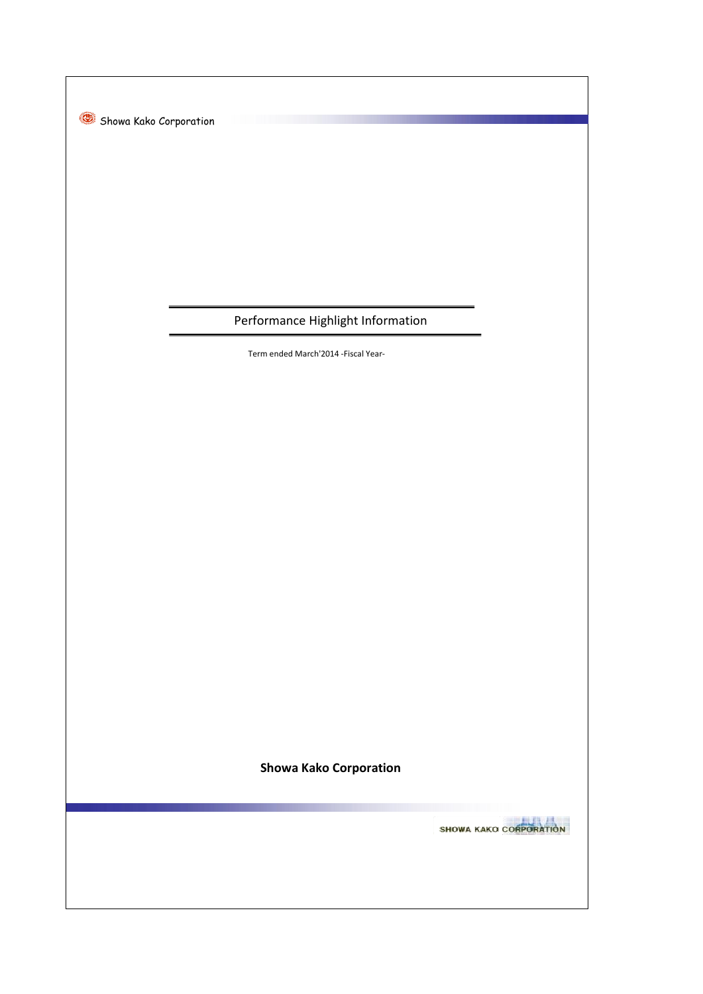Showa Kako Corporation

## Performance Highlight Information

Term ended March'2014 -Fiscal Year-

**Showa Kako Corporation**

SHOWA KAKO CORPORATION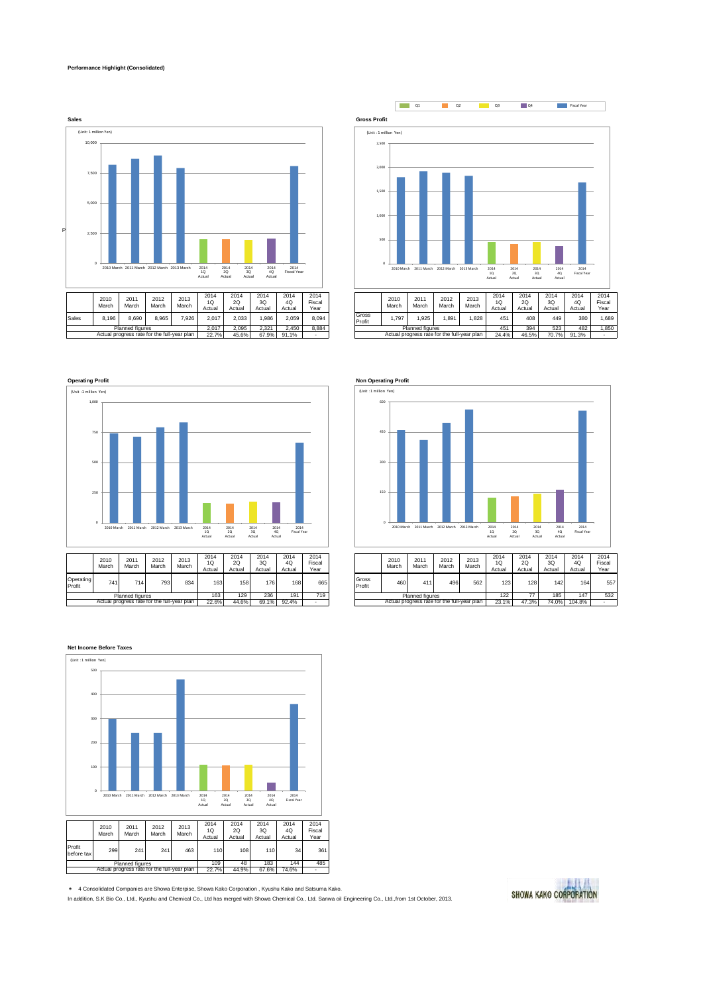## **Performance Highlight (Consolidated)**







Actual progress rate for the full-year plan



22.6% 44.6% 69.1% 92.4% - 23.1% 23.1% 23.1% 23.1% 47.3% 69.1% 104.8% - 23.1% 23.1% 23.1% 23.1% 23.1% 23.1% 23

 Planned figures Actual progress rate for the full-year plan



\* 4 Consolidated Companies are Showa Enterpise, Showa Kako Corporation , Kyushu Kako and Satsuma Kako. In addition, S.K Bio Co., Ltd., Kyushu and Chemical Co., Ltd has merged with Showa Chemical Co., Ltd. Sanwa oil Engineering Co., Ltd.,from 1st October, 2013.

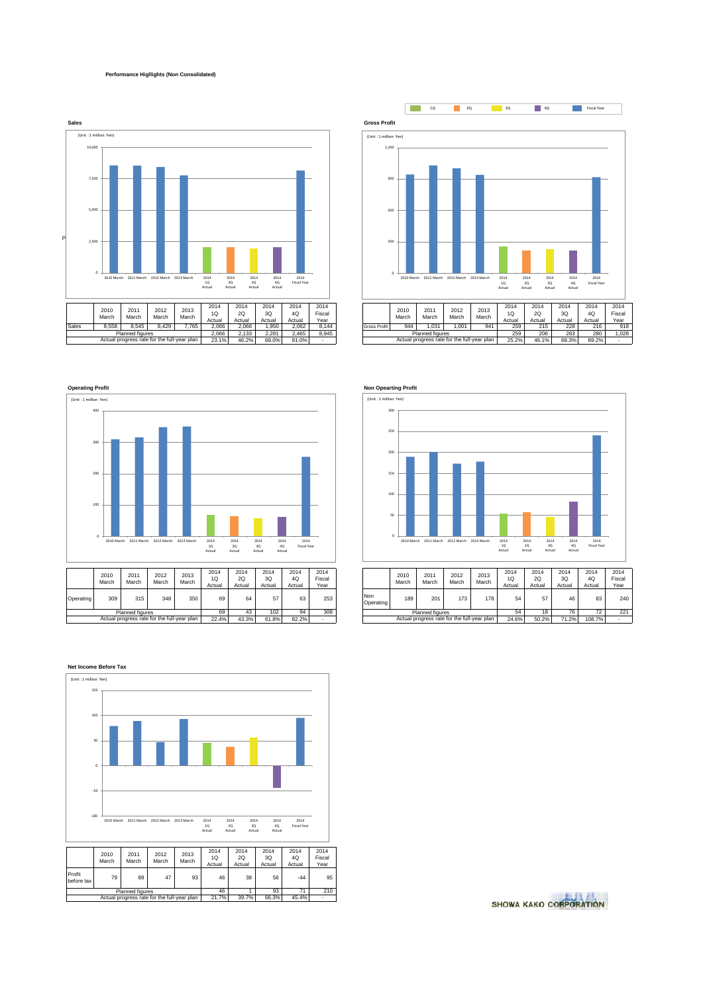## **Performance Higllights (Non Consolidated)**









| 014<br>1Q<br>ctual | 2014<br>2Q<br>Actual | 2014<br>3Q<br>Actual | 2014<br>4Q<br>Actual | 2014<br>Fiscal<br>Year |                         | 2010<br>March | 2011<br>March                               | 2012<br>March | 2013<br>March | 2014<br>1Q<br>Actual | 2014<br>2Q<br>Actual | 2014<br>3Q<br>Actual | 2014<br>4Q<br>Actual | 2014<br>Fiscal<br>Year |
|--------------------|----------------------|----------------------|----------------------|------------------------|-------------------------|---------------|---------------------------------------------|---------------|---------------|----------------------|----------------------|----------------------|----------------------|------------------------|
| 69                 | 64                   | 57                   | 63                   | 253                    | <b>Non</b><br>Operating | 189           | 201                                         | 173           | 178           | 54                   | 57                   | 46                   | 83                   | 240                    |
| 69                 | 43                   | 102                  | 94                   | 308                    |                         |               | Planned figures                             |               |               | 54                   | 18                   | 76                   | 72                   | 221                    |
| 22.4%              | 43.3%                | 61.8%                | 82.2%                | -                      |                         |               | Actual progress rate for the full-year plan |               |               | 24.6%                | 50.2%                | 71.2%                | 108.7%               |                        |



SHOWA KAKO CORPORATION